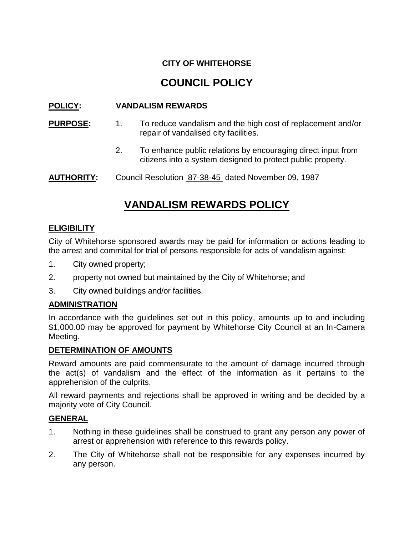# **CITY OF WHITEHORSE**

# **COUNCIL POLICY**

## **POLICY: VANDALISM REWARDS**

- **PURPOSE:** 1. To reduce vandalism and the high cost of replacement and/or repair of vandalised city facilities.
	- 2. To enhance public relations by encouraging direct input from citizens into a system designed to protect public property.

AUTHORITY: Council Resolution 87-38-45 dated November 09, 1987

# **VANDALISM REWARDS POLICY**

### **ELIGIBILITY**

City of Whitehorse sponsored awards may be paid for information or actions leading to the arrest and commital for trial of persons responsible for acts of vandalism against:

- 1. City owned property;
- 2. property not owned but maintained by the City of Whitehorse; and
- 3. City owned buildings and/or facilities.

### **ADMINISTRATION**

In accordance with the guidelines set out in this policy, amounts up to and including \$1,000.00 may be approved for payment by Whitehorse City Council at an In-Camera Meeting.

### **DETERMINATION OF AMOUNTS**

Reward amounts are paid commensurate to the amount of damage incurred through the act(s) of vandalism and the effect of the information as it pertains to the apprehension of the culprits.

All reward payments and rejections shall be approved in writing and be decided by a majority vote of City Council.

### **GENERAL**

- 1. Nothing in these guidelines shall be construed to grant any person any power of arrest or apprehension with reference to this rewards policy.
- 2. The City of Whitehorse shall not be responsible for any expenses incurred by any person.